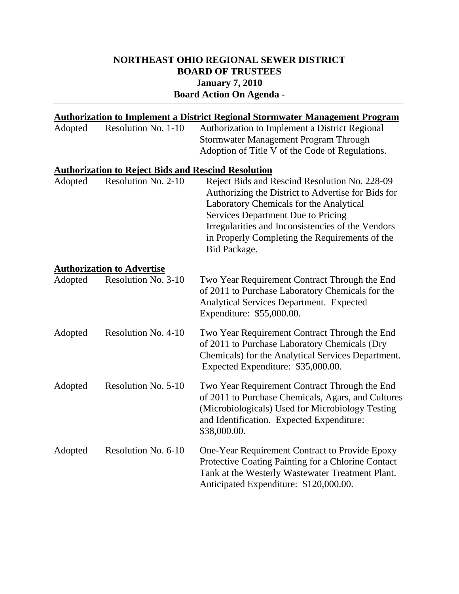## **NORTHEAST OHIO REGIONAL SEWER DISTRICT BOARD OF TRUSTEES January 7, 2010 Board Action On Agenda -**

| <b>Authorization to Implement a District Regional Stormwater Management Program</b> |                                                            |                                                                                                                                                                                                                                                                                                                    |  |  |
|-------------------------------------------------------------------------------------|------------------------------------------------------------|--------------------------------------------------------------------------------------------------------------------------------------------------------------------------------------------------------------------------------------------------------------------------------------------------------------------|--|--|
| Adopted                                                                             | Resolution No. 1-10                                        | Authorization to Implement a District Regional<br>Stormwater Management Program Through                                                                                                                                                                                                                            |  |  |
|                                                                                     |                                                            | Adoption of Title V of the Code of Regulations.                                                                                                                                                                                                                                                                    |  |  |
|                                                                                     | <b>Authorization to Reject Bids and Rescind Resolution</b> |                                                                                                                                                                                                                                                                                                                    |  |  |
| Adopted                                                                             | Resolution No. 2-10                                        | Reject Bids and Rescind Resolution No. 228-09<br>Authorizing the District to Advertise for Bids for<br>Laboratory Chemicals for the Analytical<br><b>Services Department Due to Pricing</b><br>Irregularities and Inconsistencies of the Vendors<br>in Properly Completing the Requirements of the<br>Bid Package. |  |  |
|                                                                                     | <b>Authorization to Advertise</b>                          |                                                                                                                                                                                                                                                                                                                    |  |  |
| Adopted                                                                             | Resolution No. 3-10                                        | Two Year Requirement Contract Through the End<br>of 2011 to Purchase Laboratory Chemicals for the<br>Analytical Services Department. Expected<br>Expenditure: \$55,000.00.                                                                                                                                         |  |  |
| Adopted                                                                             | Resolution No. 4-10                                        | Two Year Requirement Contract Through the End<br>of 2011 to Purchase Laboratory Chemicals (Dry<br>Chemicals) for the Analytical Services Department.<br>Expected Expenditure: \$35,000.00.                                                                                                                         |  |  |
| Adopted                                                                             | Resolution No. 5-10                                        | Two Year Requirement Contract Through the End<br>of 2011 to Purchase Chemicals, Agars, and Cultures<br>(Microbiologicals) Used for Microbiology Testing<br>and Identification. Expected Expenditure:<br>\$38,000.00.                                                                                               |  |  |
| Adopted                                                                             | Resolution No. 6-10                                        | One-Year Requirement Contract to Provide Epoxy<br>Protective Coating Painting for a Chlorine Contact<br>Tank at the Westerly Wastewater Treatment Plant.<br>Anticipated Expenditure: \$120,000.00.                                                                                                                 |  |  |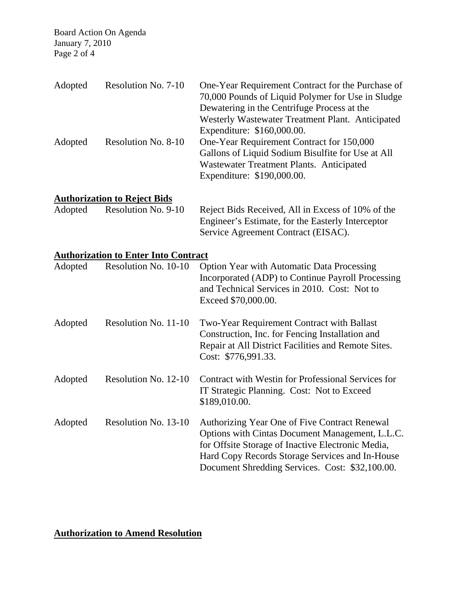Board Action On Agenda January 7, 2010 Page 2 of 4

| Adopted | Resolution No. 7-10                         | One-Year Requirement Contract for the Purchase of<br>70,000 Pounds of Liquid Polymer for Use in Sludge<br>Dewatering in the Centrifuge Process at the<br>Westerly Wastewater Treatment Plant. Anticipated<br>Expenditure: \$160,000.00.                     |
|---------|---------------------------------------------|-------------------------------------------------------------------------------------------------------------------------------------------------------------------------------------------------------------------------------------------------------------|
| Adopted | Resolution No. 8-10                         | One-Year Requirement Contract for 150,000<br>Gallons of Liquid Sodium Bisulfite for Use at All<br>Wastewater Treatment Plants. Anticipated<br>Expenditure: \$190,000.00.                                                                                    |
|         | <b>Authorization to Reject Bids</b>         |                                                                                                                                                                                                                                                             |
| Adopted | Resolution No. 9-10                         | Reject Bids Received, All in Excess of 10% of the<br>Engineer's Estimate, for the Easterly Interceptor<br>Service Agreement Contract (EISAC).                                                                                                               |
|         | <b>Authorization to Enter Into Contract</b> |                                                                                                                                                                                                                                                             |
| Adopted | Resolution No. 10-10                        | <b>Option Year with Automatic Data Processing</b><br>Incorporated (ADP) to Continue Payroll Processing<br>and Technical Services in 2010. Cost: Not to<br>Exceed \$70,000.00.                                                                               |
| Adopted | Resolution No. 11-10                        | Two-Year Requirement Contract with Ballast<br>Construction, Inc. for Fencing Installation and<br>Repair at All District Facilities and Remote Sites.<br>Cost: \$776,991.33.                                                                                 |
| Adopted | Resolution No. 12-10                        | Contract with Westin for Professional Services for<br>IT Strategic Planning. Cost: Not to Exceed<br>\$189,010.00.                                                                                                                                           |
| Adopted | Resolution No. 13-10                        | Authorizing Year One of Five Contract Renewal<br>Options with Cintas Document Management, L.L.C.<br>for Offsite Storage of Inactive Electronic Media,<br>Hard Copy Records Storage Services and In-House<br>Document Shredding Services. Cost: \$32,100.00. |

## **Authorization to Amend Resolution**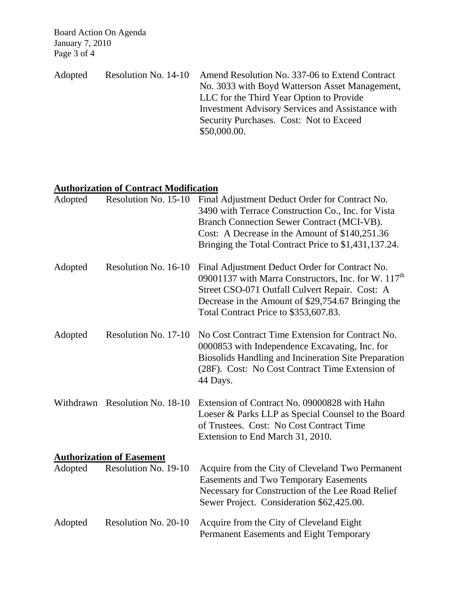Board Action On Agenda January 7, 2010 Page 3 of 4

| Adopted | Resolution No. 14-10 Amend Resolution No. 337-06 to Extend Contract |
|---------|---------------------------------------------------------------------|
|         | No. 3033 with Boyd Watterson Asset Management,                      |
|         | LLC for the Third Year Option to Provide                            |
|         | <b>Investment Advisory Services and Assistance with</b>             |
|         | Security Purchases. Cost: Not to Exceed                             |
|         | \$50,000.00.                                                        |

## **Authorization of Contract Modification**

| Adopted | Resolution No. 15-10             | Final Adjustment Deduct Order for Contract No.<br>3490 with Terrace Construction Co., Inc. for Vista<br>Branch Connection Sewer Contract (MCI-VB).<br>Cost: A Decrease in the Amount of \$140,251.36<br>Bringing the Total Contract Price to \$1,431,137.24.       |
|---------|----------------------------------|--------------------------------------------------------------------------------------------------------------------------------------------------------------------------------------------------------------------------------------------------------------------|
| Adopted | Resolution No. 16-10             | Final Adjustment Deduct Order for Contract No.<br>09001137 with Marra Constructors, Inc. for W. 117 <sup>th</sup><br>Street CSO-071 Outfall Culvert Repair. Cost: A<br>Decrease in the Amount of \$29,754.67 Bringing the<br>Total Contract Price to \$353,607.83. |
| Adopted | Resolution No. 17-10             | No Cost Contract Time Extension for Contract No.<br>0000853 with Independence Excavating, Inc. for<br>Biosolids Handling and Incineration Site Preparation<br>(28F). Cost: No Cost Contract Time Extension of<br>44 Days.                                          |
|         | Withdrawn Resolution No. 18-10   | Extension of Contract No. 09000828 with Hahn<br>Loeser & Parks LLP as Special Counsel to the Board<br>of Trustees. Cost: No Cost Contract Time<br>Extension to End March 31, 2010.                                                                                 |
|         | <b>Authorization of Easement</b> |                                                                                                                                                                                                                                                                    |
| Adopted | Resolution No. 19-10             | Acquire from the City of Cleveland Two Permanent<br><b>Easements and Two Temporary Easements</b><br>Necessary for Construction of the Lee Road Relief<br>Sewer Project. Consideration \$62,425.00.                                                                 |
| Adopted | Resolution No. 20-10             | Acquire from the City of Cleveland Eight<br>Permanent Easements and Eight Temporary                                                                                                                                                                                |